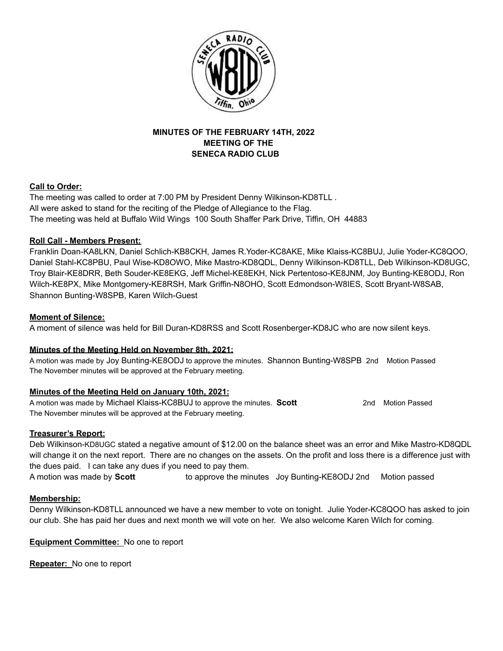

# **MINUTES OF THE FEBRUARY 14TH, 2022 MEETING OF THE SENECA RADIO CLUB**

## **Call to Order:**

The meeting was called to order at 7:00 PM by President Denny Wilkinson-KD8TLL . All were asked to stand for the reciting of the Pledge of Allegiance to the Flag. The meeting was held at Buffalo Wild Wings 100 South Shaffer Park Drive, Tiffin, OH 44883

## **Roll Call - Members Present:**

Franklin Doan-KA8LKN, Daniel Schlich-KB8CKH, James R.Yoder-KC8AKE, Mike Klaiss-KC8BUJ, Julie Yoder-KC8QOO, Daniel Stahl-KC8PBU, Paul Wise-KD8OWO, Mike Mastro-KD8QDL, Denny Wilkinson-KD8TLL, Deb Wilkinson-KD8UGC, Troy Blair-KE8DRR, Beth Souder-KE8EKG, Jeff Michel-KE8EKH, Nick Pertentoso-KE8JNM, Joy Bunting-KE8ODJ, Ron Wilch-KE8PX, Mike Montgomery-KE8RSH, Mark Griffin-N8OHO, Scott Edmondson-W8IES, Scott Bryant-W8SAB, Shannon Bunting-W8SPB, Karen Wilch-Guest

## **Moment of Silence:**

A moment of silence was held for Bill Duran-KD8RSS and Scott Rosenberger-KD8JC who are now silent keys.

#### **Minutes of the Meeting Held on November 8th, 2021:**

A motion was made by Joy Bunting-KE8ODJ to approve the minutes. Shannon Bunting-W8SPB 2nd Motion Passed The November minutes will be approved at the February meeting.

# **Minutes of the Meeting Held on January 10th, 2021:**

A motion was made by Michael Klaiss-KC8BUJ to approve the minutes. **Scott** 2nd Motion Passed The November minutes will be approved at the February meeting.

#### **Treasurer's Report:**

Deb Wilkinson-KD8UGC stated a negative amount of \$12.00 on the balance sheet was an error and Mike Mastro-KD8QDL will change it on the next report. There are no changes on the assets. On the profit and loss there is a difference just with the dues paid. I can take any dues if you need to pay them.

A motion was made by **Scott** to approve the minutes Joy Bunting-KE8ODJ 2nd Motion passed

#### **Membership:**

Denny Wilkinson-KD8TLL announced we have a new member to vote on tonight. Julie Yoder-KC8QOO has asked to join our club. She has paid her dues and next month we will vote on her. We also welcome Karen Wilch for coming.

**Equipment Committee:** No one to report

**Repeater:** No one to report